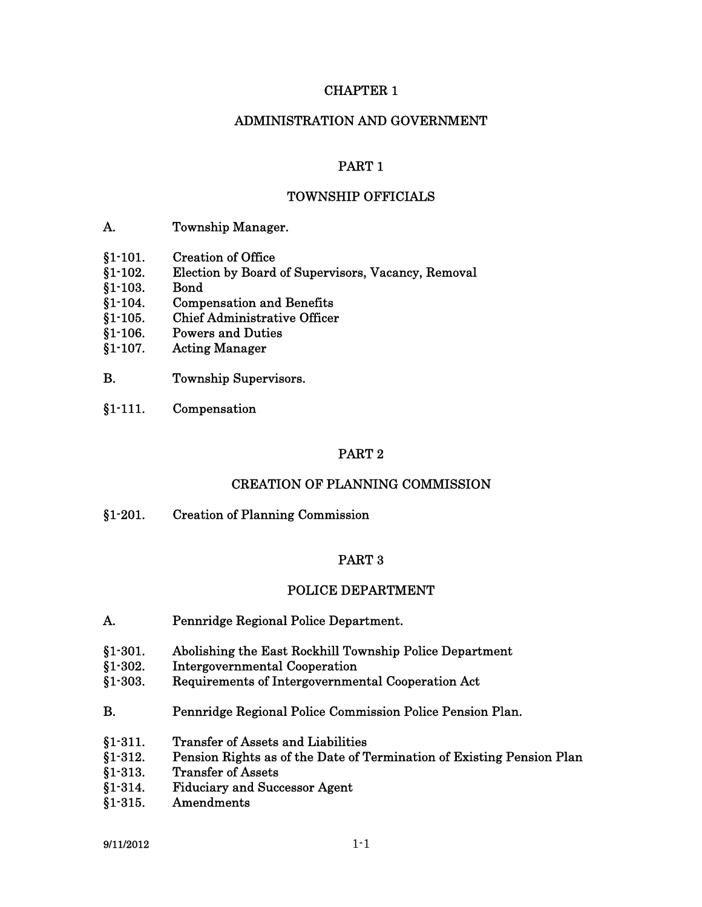### CHAPTER 1

### ADMINISTRATION AND GOVERNMENT

### PART 1

### TOWNSHIP OFFICIALS

- A. Township Manager.
- §1-101. Creation of Office
- §1-102. Election by Board of Supervisors, Vacancy, Removal
- §1-103. Bond
- §1-104. Compensation and Benefits
- §1-105. Chief Administrative Officer
- §1-106. Powers and Duties
- §1-107. Acting Manager
- B. Township Supervisors.
- §1-111. Compensation

### PART 2

### CREATION OF PLANNING COMMISSION

§1-201. Creation of Planning Commission

#### PART 3

#### POLICE DEPARTMENT

- A. Pennridge Regional Police Department.
- §1-301. Abolishing the East Rockhill Township Police Department
- §1-302. Intergovernmental Cooperation
- §1-303. Requirements of Intergovernmental Cooperation Act
- B. Pennridge Regional Police Commission Police Pension Plan.
- §1-311. Transfer of Assets and Liabilities
- §1-312. Pension Rights as of the Date of Termination of Existing Pension Plan
- §1-313. Transfer of Assets
- §1-314. Fiduciary and Successor Agent
- §1-315. Amendments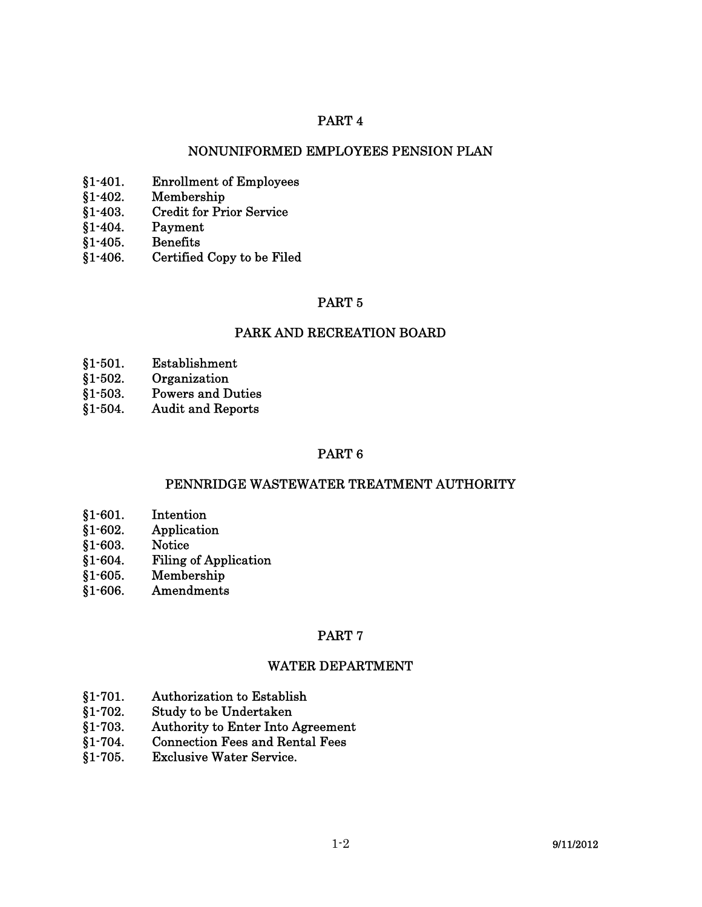### NONUNIFORMED EMPLOYEES PENSION PLAN

- §1-401. Enrollment of Employees
- §1-402. Membership
- §1-403. Credit for Prior Service
- §1-404. Payment
- §1-405. Benefits
- §1-406. Certified Copy to be Filed

### PART 5

#### PARK AND RECREATION BOARD

- §1-501. Establishment
- §1-502. Organization
- §1-503. Powers and Duties
- §1-504. Audit and Reports

### PART 6

### PENNRIDGE WASTEWATER TREATMENT AUTHORITY

- §1-601. Intention
- §1-602. Application
- §1-603. Notice
- §1-604. Filing of Application
- §1-605. Membership
- §1-606. Amendments

#### PART 7

### WATER DEPARTMENT

- §1-701. Authorization to Establish
- §1-702. Study to be Undertaken
- §1-703. Authority to Enter Into Agreement
- §1-704. Connection Fees and Rental Fees
- §1-705. Exclusive Water Service.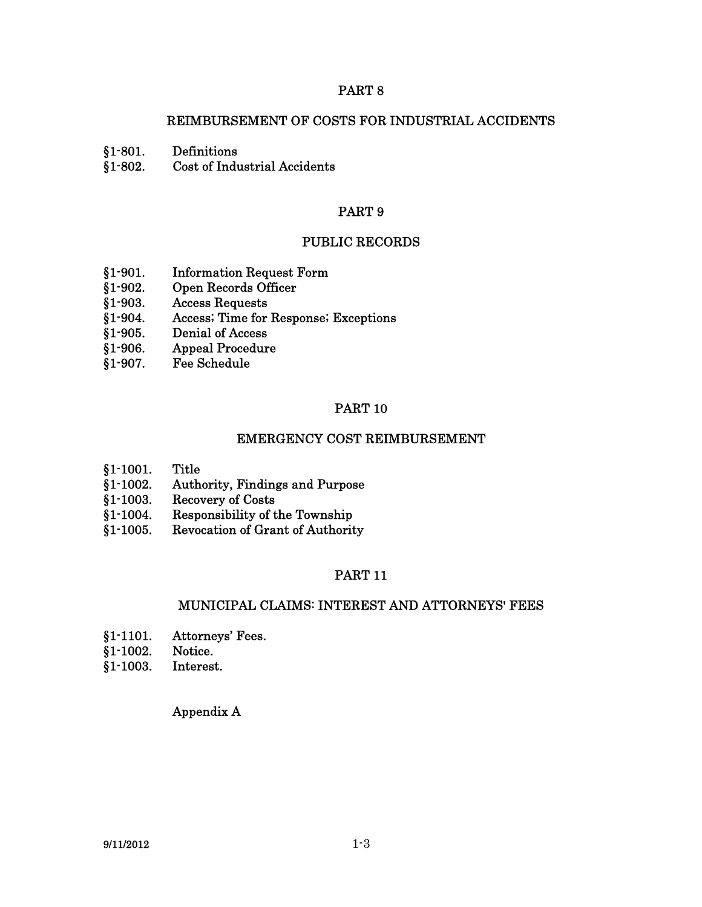### REIMBURSEMENT OF COSTS FOR INDUSTRIAL ACCIDENTS

§1-801. Definitions

§1-802. Cost of Industrial Accidents

### PART 9

#### PUBLIC RECORDS

- §1-901. Information Request Form
- §1-902. Open Records Officer
- §1-903. Access Requests
- §1-904. Access; Time for Response; Exceptions
- §1-905. Denial of Access
- §1-906. Appeal Procedure
- §1-907. Fee Schedule

#### PART 10

#### EMERGENCY COST REIMBURSEMENT

- §1-1001. Title
- §1-1002. Authority, Findings and Purpose
- §1-1003. Recovery of Costs
- §1-1004. Responsibility of the Township
- §1-1005. Revocation of Grant of Authority

### PART 11

#### MUNICIPAL CLAIMS: INTEREST AND ATTORNEYS' FEES

- §1-1101. Attorneys' Fees.
- §1-1002. Notice.
- §1-1003. Interest.

### Appendix A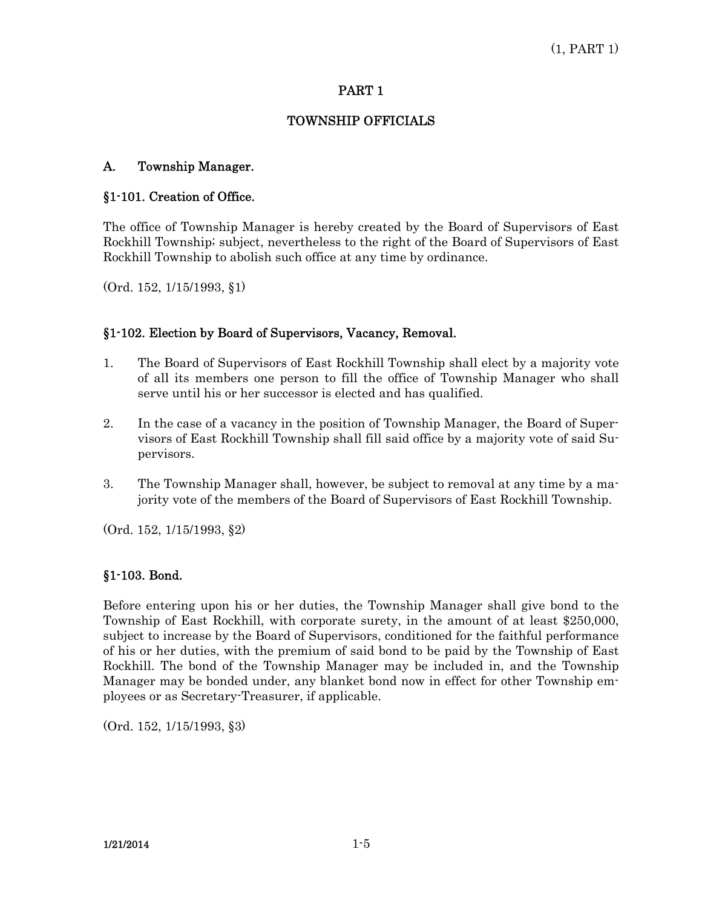### TOWNSHIP OFFICIALS

# A. Township Manager.

# §1-101. Creation of Office.

The office of Township Manager is hereby created by the Board of Supervisors of East Rockhill Township; subject, nevertheless to the right of the Board of Supervisors of East Rockhill Township to abolish such office at any time by ordinance.

(Ord. 152, 1/15/1993, §1)

# §1-102. Election by Board of Supervisors, Vacancy, Removal.

- 1. The Board of Supervisors of East Rockhill Township shall elect by a majority vote of all its members one person to fill the office of Township Manager who shall serve until his or her successor is elected and has qualified.
- 2. In the case of a vacancy in the position of Township Manager, the Board of Supervisors of East Rockhill Township shall fill said office by a majority vote of said Supervisors.
- 3. The Township Manager shall, however, be subject to removal at any time by a majority vote of the members of the Board of Supervisors of East Rockhill Township.

(Ord. 152, 1/15/1993, §2)

### §1-103. Bond.

Before entering upon his or her duties, the Township Manager shall give bond to the Township of East Rockhill, with corporate surety, in the amount of at least \$250,000, subject to increase by the Board of Supervisors, conditioned for the faithful performance of his or her duties, with the premium of said bond to be paid by the Township of East Rockhill. The bond of the Township Manager may be included in, and the Township Manager may be bonded under, any blanket bond now in effect for other Township employees or as Secretary-Treasurer, if applicable.

(Ord. 152, 1/15/1993, §3)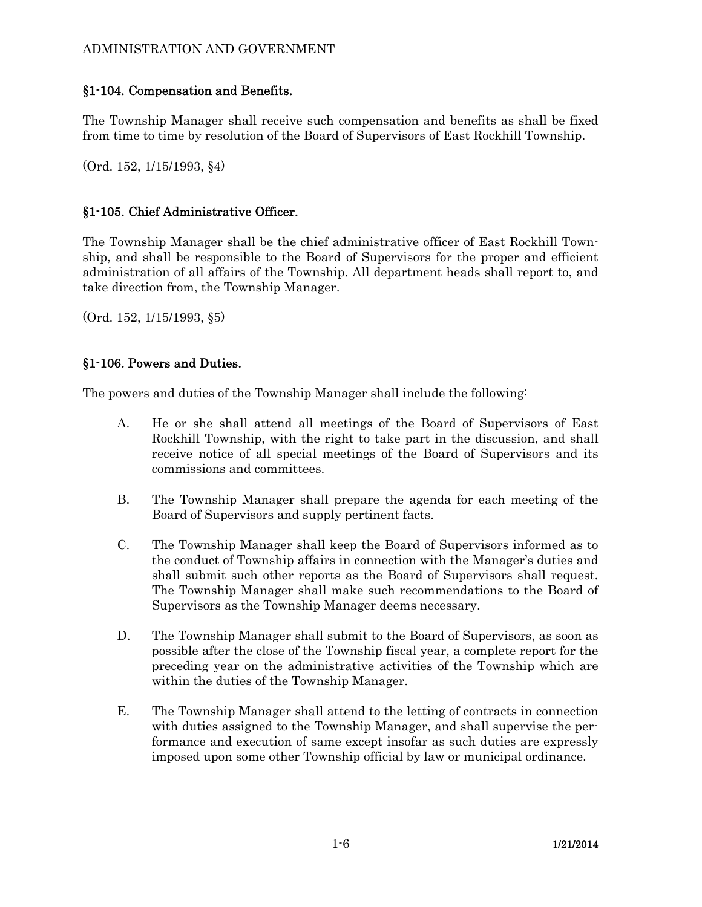### ADMINISTRATION AND GOVERNMENT

# §1-104. Compensation and Benefits.

The Township Manager shall receive such compensation and benefits as shall be fixed from time to time by resolution of the Board of Supervisors of East Rockhill Township.

(Ord. 152, 1/15/1993, §4)

# §1-105. Chief Administrative Officer.

The Township Manager shall be the chief administrative officer of East Rockhill Township, and shall be responsible to the Board of Supervisors for the proper and efficient administration of all affairs of the Township. All department heads shall report to, and take direction from, the Township Manager.

(Ord. 152, 1/15/1993, §5)

# §1-106. Powers and Duties.

The powers and duties of the Township Manager shall include the following:

- A. He or she shall attend all meetings of the Board of Supervisors of East Rockhill Township, with the right to take part in the discussion, and shall receive notice of all special meetings of the Board of Supervisors and its commissions and committees.
- B. The Township Manager shall prepare the agenda for each meeting of the Board of Supervisors and supply pertinent facts.
- C. The Township Manager shall keep the Board of Supervisors informed as to the conduct of Township affairs in connection with the Manager's duties and shall submit such other reports as the Board of Supervisors shall request. The Township Manager shall make such recommendations to the Board of Supervisors as the Township Manager deems necessary.
- D. The Township Manager shall submit to the Board of Supervisors, as soon as possible after the close of the Township fiscal year, a complete report for the preceding year on the administrative activities of the Township which are within the duties of the Township Manager.
- E. The Township Manager shall attend to the letting of contracts in connection with duties assigned to the Township Manager, and shall supervise the performance and execution of same except insofar as such duties are expressly imposed upon some other Township official by law or municipal ordinance.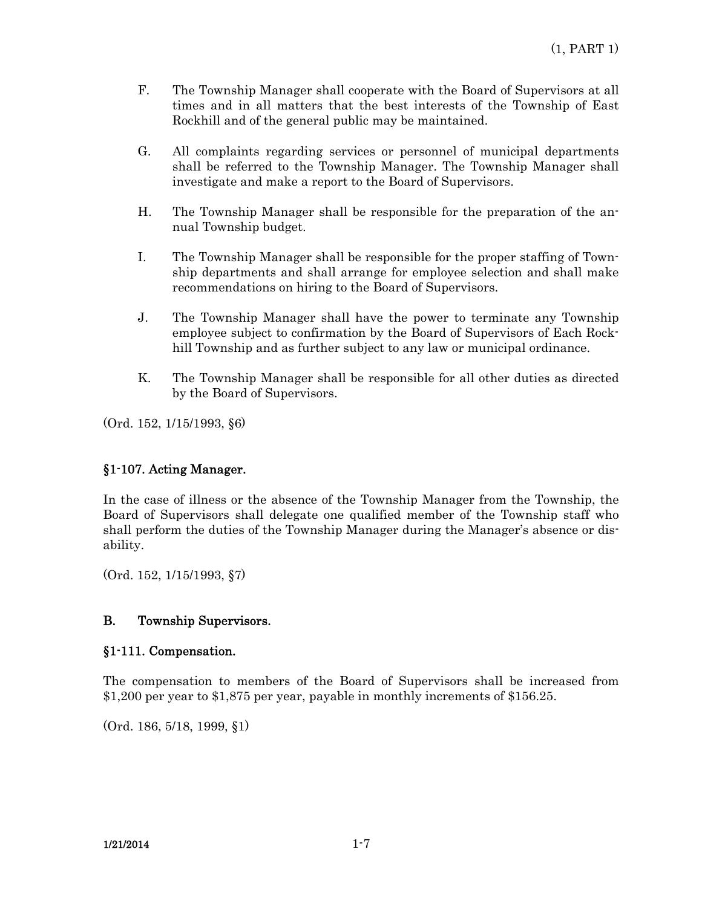- F. The Township Manager shall cooperate with the Board of Supervisors at all times and in all matters that the best interests of the Township of East Rockhill and of the general public may be maintained.
- G. All complaints regarding services or personnel of municipal departments shall be referred to the Township Manager. The Township Manager shall investigate and make a report to the Board of Supervisors.
- H. The Township Manager shall be responsible for the preparation of the annual Township budget.
- I. The Township Manager shall be responsible for the proper staffing of Township departments and shall arrange for employee selection and shall make recommendations on hiring to the Board of Supervisors.
- J. The Township Manager shall have the power to terminate any Township employee subject to confirmation by the Board of Supervisors of Each Rockhill Township and as further subject to any law or municipal ordinance.
- K. The Township Manager shall be responsible for all other duties as directed by the Board of Supervisors.

(Ord. 152, 1/15/1993, §6)

### §1-107. Acting Manager.

In the case of illness or the absence of the Township Manager from the Township, the Board of Supervisors shall delegate one qualified member of the Township staff who shall perform the duties of the Township Manager during the Manager's absence or disability.

(Ord. 152, 1/15/1993, §7)

### B. Township Supervisors.

### §1-111. Compensation.

The compensation to members of the Board of Supervisors shall be increased from \$1,200 per year to \$1,875 per year, payable in monthly increments of \$156.25.

(Ord. 186, 5/18, 1999, §1)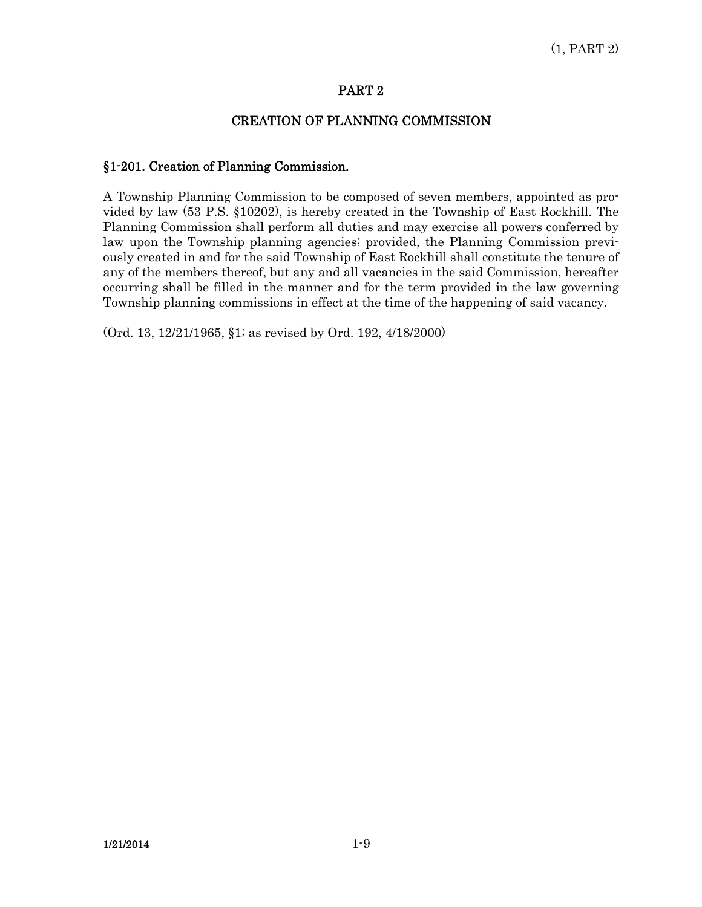### CREATION OF PLANNING COMMISSION

### §1-201. Creation of Planning Commission.

A Township Planning Commission to be composed of seven members, appointed as provided by law (53 P.S. §10202), is hereby created in the Township of East Rockhill. The Planning Commission shall perform all duties and may exercise all powers conferred by law upon the Township planning agencies; provided, the Planning Commission previously created in and for the said Township of East Rockhill shall constitute the tenure of any of the members thereof, but any and all vacancies in the said Commission, hereafter occurring shall be filled in the manner and for the term provided in the law governing Township planning commissions in effect at the time of the happening of said vacancy.

(Ord. 13, 12/21/1965, §1; as revised by Ord. 192, 4/18/2000)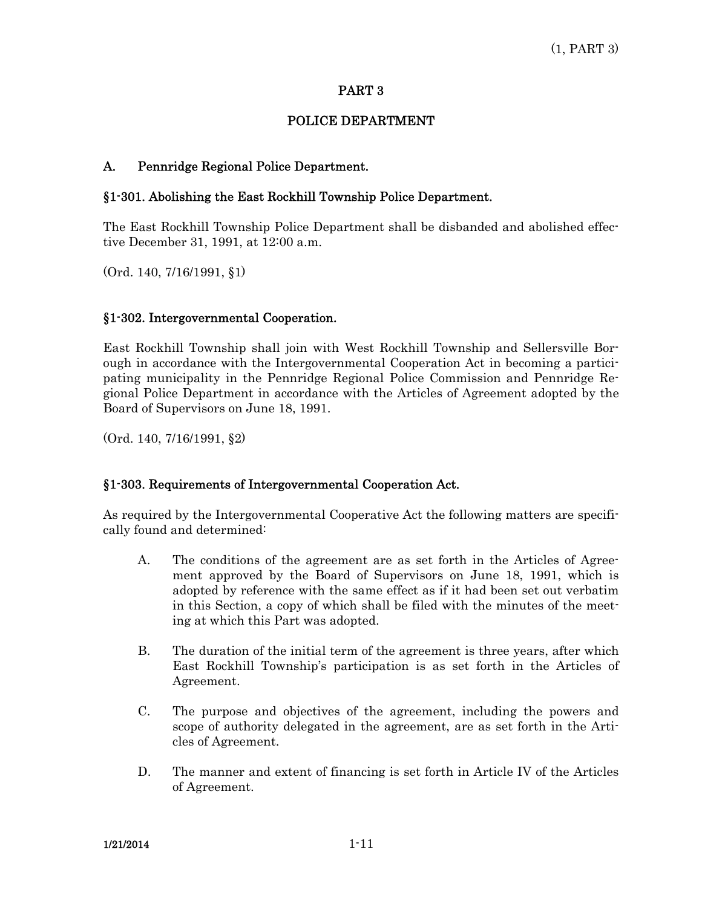# POLICE DEPARTMENT

# A. Pennridge Regional Police Department.

### §1-301. Abolishing the East Rockhill Township Police Department.

The East Rockhill Township Police Department shall be disbanded and abolished effective December 31, 1991, at 12:00 a.m.

(Ord. 140, 7/16/1991, §1)

### §1-302. Intergovernmental Cooperation.

East Rockhill Township shall join with West Rockhill Township and Sellersville Borough in accordance with the Intergovernmental Cooperation Act in becoming a participating municipality in the Pennridge Regional Police Commission and Pennridge Regional Police Department in accordance with the Articles of Agreement adopted by the Board of Supervisors on June 18, 1991.

(Ord. 140, 7/16/1991, §2)

### §1-303. Requirements of Intergovernmental Cooperation Act.

As required by the Intergovernmental Cooperative Act the following matters are specifically found and determined:

- A. The conditions of the agreement are as set forth in the Articles of Agreement approved by the Board of Supervisors on June 18, 1991, which is adopted by reference with the same effect as if it had been set out verbatim in this Section, a copy of which shall be filed with the minutes of the meeting at which this Part was adopted.
- B. The duration of the initial term of the agreement is three years, after which East Rockhill Township's participation is as set forth in the Articles of Agreement.
- C. The purpose and objectives of the agreement, including the powers and scope of authority delegated in the agreement, are as set forth in the Articles of Agreement.
- D. The manner and extent of financing is set forth in Article IV of the Articles of Agreement.

 $1/21/2014$  1-11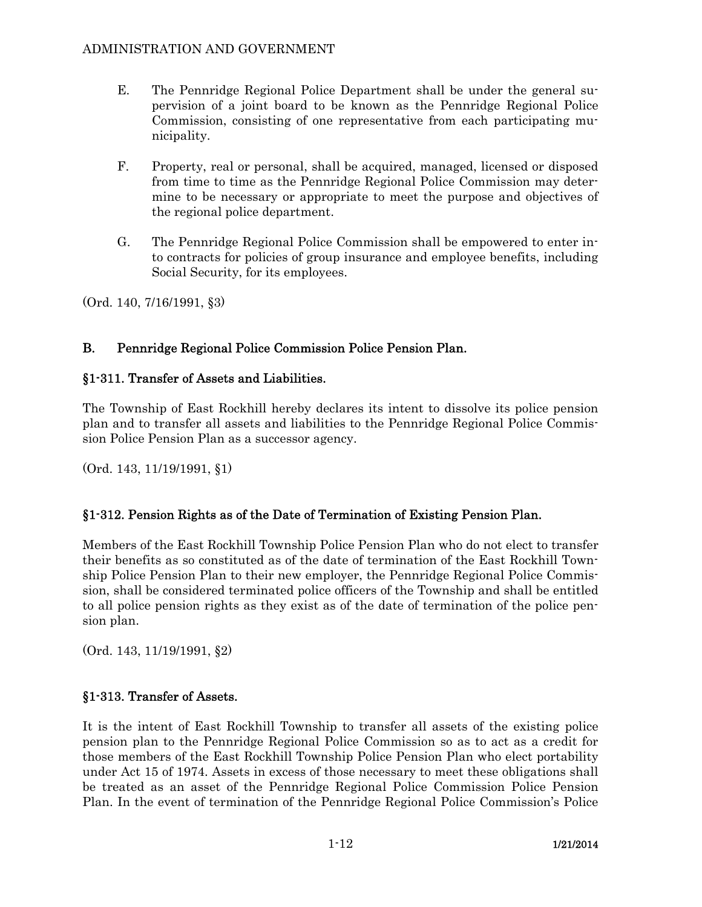- E. The Pennridge Regional Police Department shall be under the general supervision of a joint board to be known as the Pennridge Regional Police Commission, consisting of one representative from each participating municipality.
- F. Property, real or personal, shall be acquired, managed, licensed or disposed from time to time as the Pennridge Regional Police Commission may determine to be necessary or appropriate to meet the purpose and objectives of the regional police department.
- G. The Pennridge Regional Police Commission shall be empowered to enter into contracts for policies of group insurance and employee benefits, including Social Security, for its employees.

(Ord. 140, 7/16/1991, §3)

# B. Pennridge Regional Police Commission Police Pension Plan.

# §1-311. Transfer of Assets and Liabilities.

The Township of East Rockhill hereby declares its intent to dissolve its police pension plan and to transfer all assets and liabilities to the Pennridge Regional Police Commission Police Pension Plan as a successor agency.

(Ord. 143, 11/19/1991, §1)

# §1-312. Pension Rights as of the Date of Termination of Existing Pension Plan.

Members of the East Rockhill Township Police Pension Plan who do not elect to transfer their benefits as so constituted as of the date of termination of the East Rockhill Township Police Pension Plan to their new employer, the Pennridge Regional Police Commission, shall be considered terminated police officers of the Township and shall be entitled to all police pension rights as they exist as of the date of termination of the police pension plan.

(Ord. 143, 11/19/1991, §2)

# §1-313. Transfer of Assets.

It is the intent of East Rockhill Township to transfer all assets of the existing police pension plan to the Pennridge Regional Police Commission so as to act as a credit for those members of the East Rockhill Township Police Pension Plan who elect portability under Act 15 of 1974. Assets in excess of those necessary to meet these obligations shall be treated as an asset of the Pennridge Regional Police Commission Police Pension Plan. In the event of termination of the Pennridge Regional Police Commission's Police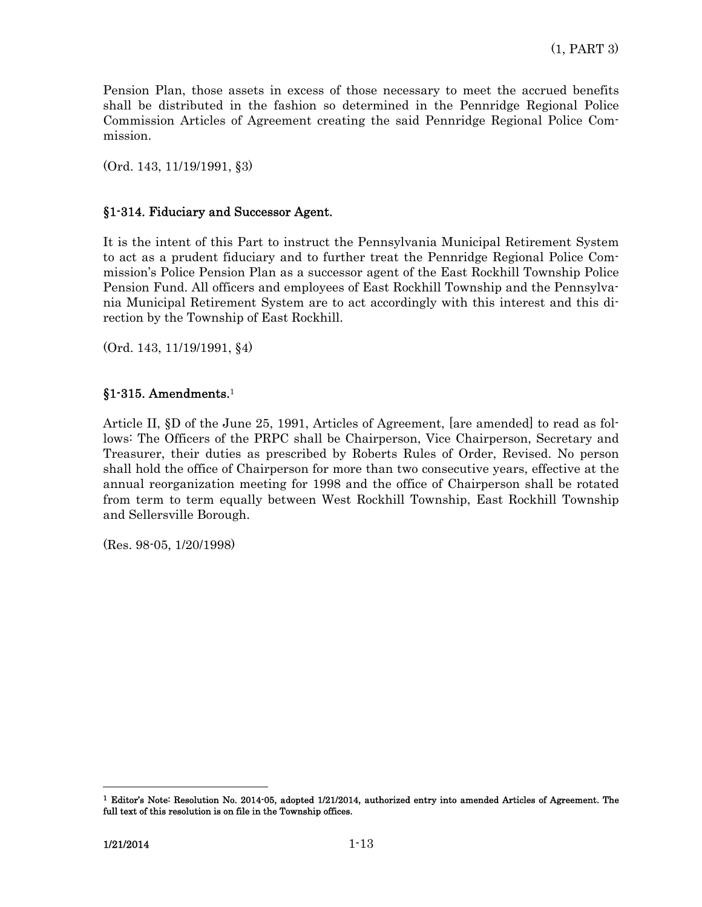Pension Plan, those assets in excess of those necessary to meet the accrued benefits shall be distributed in the fashion so determined in the Pennridge Regional Police Commission Articles of Agreement creating the said Pennridge Regional Police Commission.

(Ord. 143, 11/19/1991, §3)

### §1-314. Fiduciary and Successor Agent.

It is the intent of this Part to instruct the Pennsylvania Municipal Retirement System to act as a prudent fiduciary and to further treat the Pennridge Regional Police Commission's Police Pension Plan as a successor agent of the East Rockhill Township Police Pension Fund. All officers and employees of East Rockhill Township and the Pennsylvania Municipal Retirement System are to act accordingly with this interest and this direction by the Township of East Rockhill.

(Ord. 143, 11/19/1991, §4)

# §1-315. Amendments.<sup>1</sup>

Article II, §D of the June 25, 1991, Articles of Agreement, [are amended] to read as follows: The Officers of the PRPC shall be Chairperson, Vice Chairperson, Secretary and Treasurer, their duties as prescribed by Roberts Rules of Order, Revised. No person shall hold the office of Chairperson for more than two consecutive years, effective at the annual reorganization meeting for 1998 and the office of Chairperson shall be rotated from term to term equally between West Rockhill Township, East Rockhill Township and Sellersville Borough.

(Res. 98-05, 1/20/1998)

 $\overline{a}$ 

<sup>1</sup> Editor's Note: Resolution No. 2014-05, adopted 1/21/2014, authorized entry into amended Articles of Agreement. The full text of this resolution is on file in the Township offices.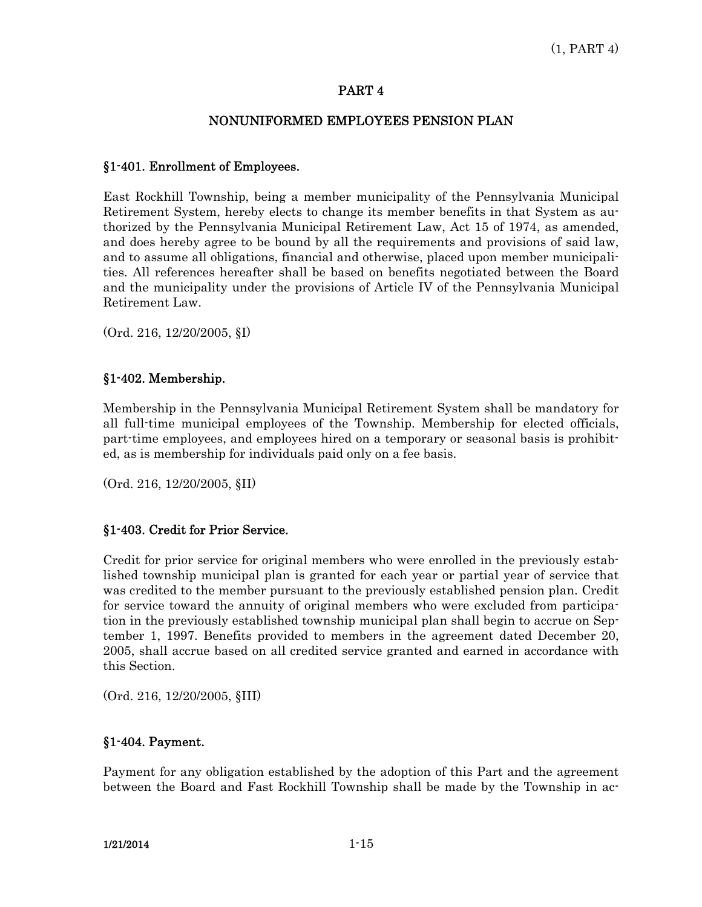### NONUNIFORMED EMPLOYEES PENSION PLAN

### §1-401. Enrollment of Employees.

East Rockhill Township, being a member municipality of the Pennsylvania Municipal Retirement System, hereby elects to change its member benefits in that System as authorized by the Pennsylvania Municipal Retirement Law, Act 15 of 1974, as amended, and does hereby agree to be bound by all the requirements and provisions of said law, and to assume all obligations, financial and otherwise, placed upon member municipalities. All references hereafter shall be based on benefits negotiated between the Board and the municipality under the provisions of Article IV of the Pennsylvania Municipal Retirement Law.

(Ord. 216, 12/20/2005, §I)

### §1-402. Membership.

Membership in the Pennsylvania Municipal Retirement System shall be mandatory for all full-time municipal employees of the Township. Membership for elected officials, part-time employees, and employees hired on a temporary or seasonal basis is prohibited, as is membership for individuals paid only on a fee basis.

(Ord. 216, 12/20/2005, §II)

### §1-403. Credit for Prior Service.

Credit for prior service for original members who were enrolled in the previously established township municipal plan is granted for each year or partial year of service that was credited to the member pursuant to the previously established pension plan. Credit for service toward the annuity of original members who were excluded from participation in the previously established township municipal plan shall begin to accrue on September 1, 1997. Benefits provided to members in the agreement dated December 20, 2005, shall accrue based on all credited service granted and earned in accordance with this Section.

(Ord. 216, 12/20/2005, §III)

# §1-404. Payment.

Payment for any obligation established by the adoption of this Part and the agreement between the Board and Fast Rockhill Township shall be made by the Township in ac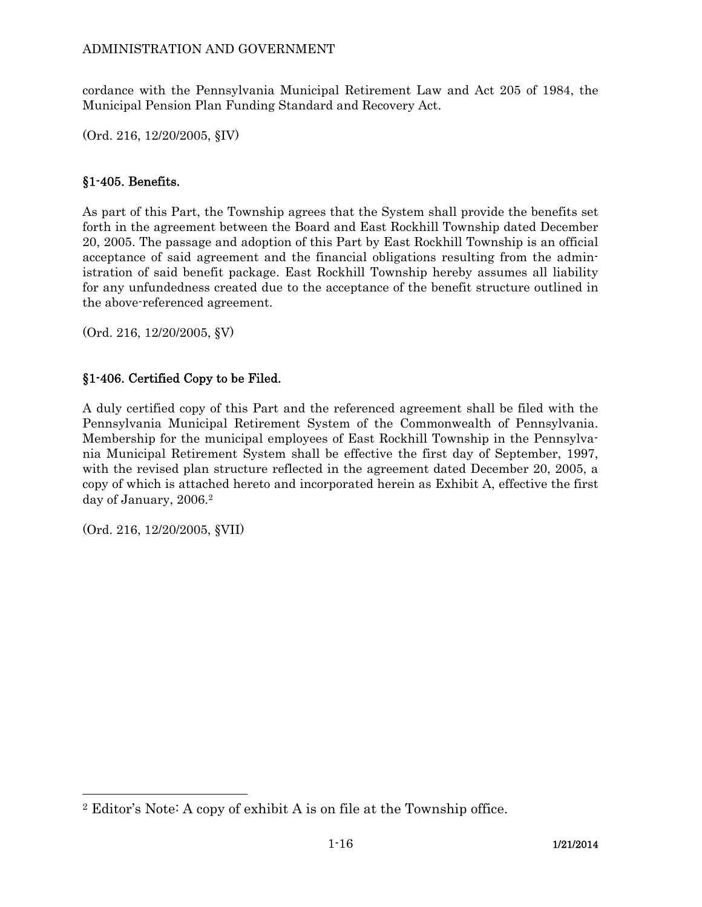cordance with the Pennsylvania Municipal Retirement Law and Act 205 of 1984, the Municipal Pension Plan Funding Standard and Recovery Act.

(Ord. 216, 12/20/2005, §IV)

# §1-405. Benefits.

As part of this Part, the Township agrees that the System shall provide the benefits set forth in the agreement between the Board and East Rockhill Township dated December 20, 2005. The passage and adoption of this Part by East Rockhill Township is an official acceptance of said agreement and the financial obligations resulting from the administration of said benefit package. East Rockhill Township hereby assumes all liability for any unfundedness created due to the acceptance of the benefit structure outlined in the above-referenced agreement.

(Ord. 216, 12/20/2005, §V)

# §1-406. Certified Copy to be Filed.

A duly certified copy of this Part and the referenced agreement shall be filed with the Pennsylvania Municipal Retirement System of the Commonwealth of Pennsylvania. Membership for the municipal employees of East Rockhill Township in the Pennsylvania Municipal Retirement System shall be effective the first day of September, 1997, with the revised plan structure reflected in the agreement dated December 20, 2005, a copy of which is attached hereto and incorporated herein as Exhibit A, effective the first day of January, 2006.2

(Ord. 216, 12/20/2005, §VII)

-

<sup>2</sup> Editor's Note: A copy of exhibit A is on file at the Township office.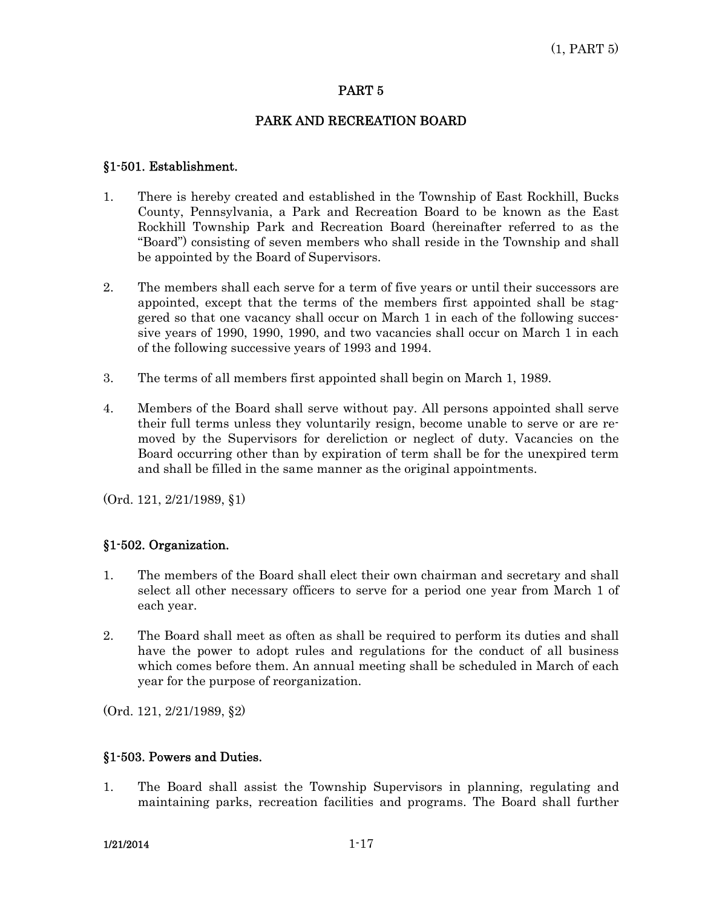### PARK AND RECREATION BOARD

### §1-501. Establishment.

- 1. There is hereby created and established in the Township of East Rockhill, Bucks County, Pennsylvania, a Park and Recreation Board to be known as the East Rockhill Township Park and Recreation Board (hereinafter referred to as the "Board") consisting of seven members who shall reside in the Township and shall be appointed by the Board of Supervisors.
- 2. The members shall each serve for a term of five years or until their successors are appointed, except that the terms of the members first appointed shall be staggered so that one vacancy shall occur on March 1 in each of the following successive years of 1990, 1990, 1990, and two vacancies shall occur on March 1 in each of the following successive years of 1993 and 1994.
- 3. The terms of all members first appointed shall begin on March 1, 1989.
- 4. Members of the Board shall serve without pay. All persons appointed shall serve their full terms unless they voluntarily resign, become unable to serve or are removed by the Supervisors for dereliction or neglect of duty. Vacancies on the Board occurring other than by expiration of term shall be for the unexpired term and shall be filled in the same manner as the original appointments.

(Ord. 121, 2/21/1989, §1)

### §1-502. Organization.

- 1. The members of the Board shall elect their own chairman and secretary and shall select all other necessary officers to serve for a period one year from March 1 of each year.
- 2. The Board shall meet as often as shall be required to perform its duties and shall have the power to adopt rules and regulations for the conduct of all business which comes before them. An annual meeting shall be scheduled in March of each year for the purpose of reorganization.

(Ord. 121, 2/21/1989, §2)

### §1-503. Powers and Duties.

1. The Board shall assist the Township Supervisors in planning, regulating and maintaining parks, recreation facilities and programs. The Board shall further

1/21/2014 1-17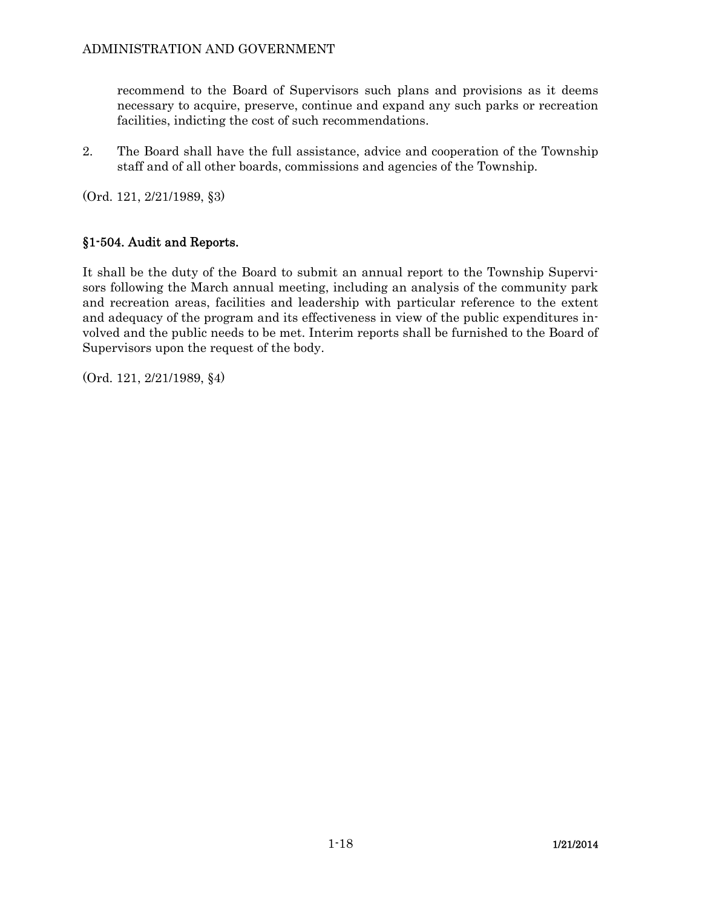recommend to the Board of Supervisors such plans and provisions as it deems necessary to acquire, preserve, continue and expand any such parks or recreation facilities, indicting the cost of such recommendations.

2. The Board shall have the full assistance, advice and cooperation of the Township staff and of all other boards, commissions and agencies of the Township.

(Ord. 121, 2/21/1989, §3)

# §1-504. Audit and Reports.

It shall be the duty of the Board to submit an annual report to the Township Supervisors following the March annual meeting, including an analysis of the community park and recreation areas, facilities and leadership with particular reference to the extent and adequacy of the program and its effectiveness in view of the public expenditures involved and the public needs to be met. Interim reports shall be furnished to the Board of Supervisors upon the request of the body.

(Ord. 121, 2/21/1989, §4)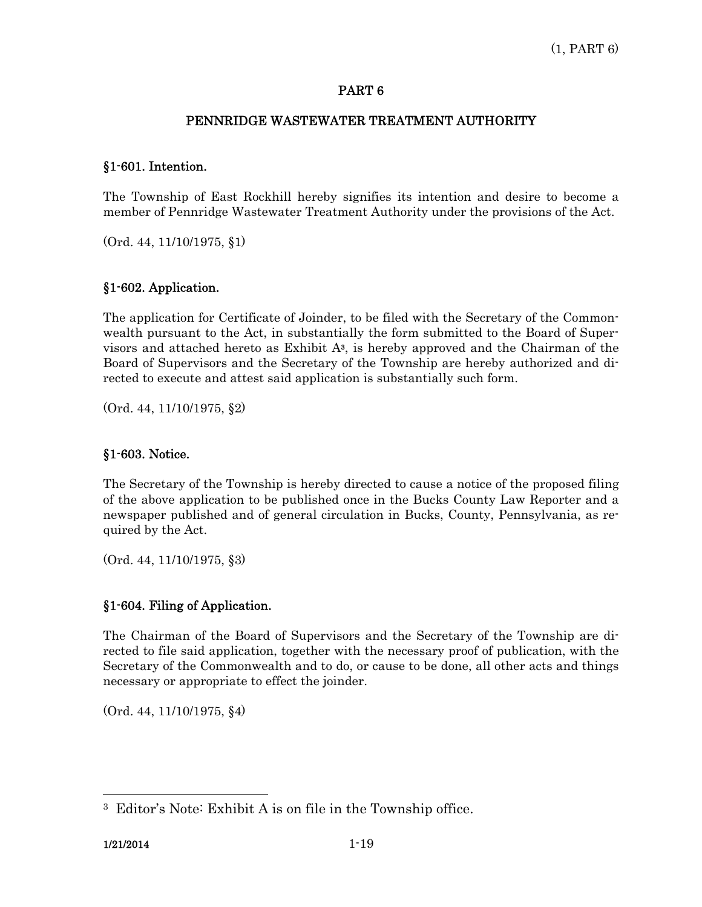### PENNRIDGE WASTEWATER TREATMENT AUTHORITY

### §1-601. Intention.

The Township of East Rockhill hereby signifies its intention and desire to become a member of Pennridge Wastewater Treatment Authority under the provisions of the Act.

(Ord. 44, 11/10/1975, §1)

### §1-602. Application.

The application for Certificate of Joinder, to be filed with the Secretary of the Commonwealth pursuant to the Act, in substantially the form submitted to the Board of Supervisors and attached hereto as Exhibit  $A<sup>3</sup>$ , is hereby approved and the Chairman of the Board of Supervisors and the Secretary of the Township are hereby authorized and directed to execute and attest said application is substantially such form.

(Ord. 44, 11/10/1975, §2)

### §1-603. Notice.

The Secretary of the Township is hereby directed to cause a notice of the proposed filing of the above application to be published once in the Bucks County Law Reporter and a newspaper published and of general circulation in Bucks, County, Pennsylvania, as required by the Act.

(Ord. 44, 11/10/1975, §3)

### §1-604. Filing of Application.

The Chairman of the Board of Supervisors and the Secretary of the Township are directed to file said application, together with the necessary proof of publication, with the Secretary of the Commonwealth and to do, or cause to be done, all other acts and things necessary or appropriate to effect the joinder.

(Ord. 44, 11/10/1975, §4)

 $\overline{a}$ 

<sup>3</sup> Editor's Note: Exhibit A is on file in the Township office.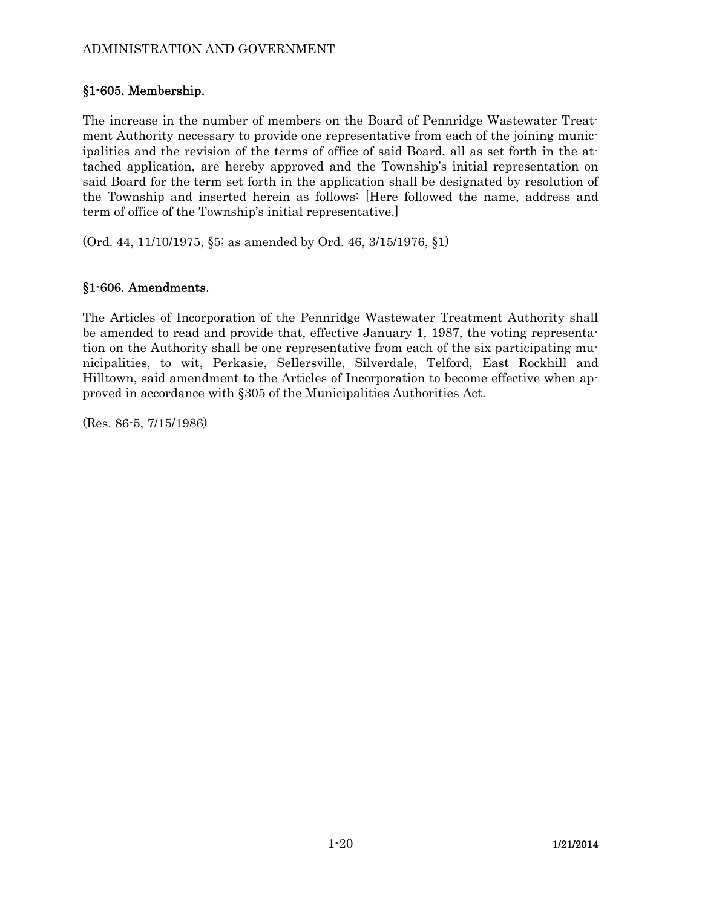# ADMINISTRATION AND GOVERNMENT

# §1-605. Membership.

The increase in the number of members on the Board of Pennridge Wastewater Treatment Authority necessary to provide one representative from each of the joining municipalities and the revision of the terms of office of said Board, all as set forth in the attached application, are hereby approved and the Township's initial representation on said Board for the term set forth in the application shall be designated by resolution of the Township and inserted herein as follows: [Here followed the name, address and term of office of the Township's initial representative.]

(Ord. 44, 11/10/1975, §5; as amended by Ord. 46, 3/15/1976, §1)

# §1-606. Amendments.

The Articles of Incorporation of the Pennridge Wastewater Treatment Authority shall be amended to read and provide that, effective January 1, 1987, the voting representation on the Authority shall be one representative from each of the six participating municipalities, to wit, Perkasie, Sellersville, Silverdale, Telford, East Rockhill and Hilltown, said amendment to the Articles of Incorporation to become effective when approved in accordance with §305 of the Municipalities Authorities Act.

(Res. 86-5, 7/15/1986)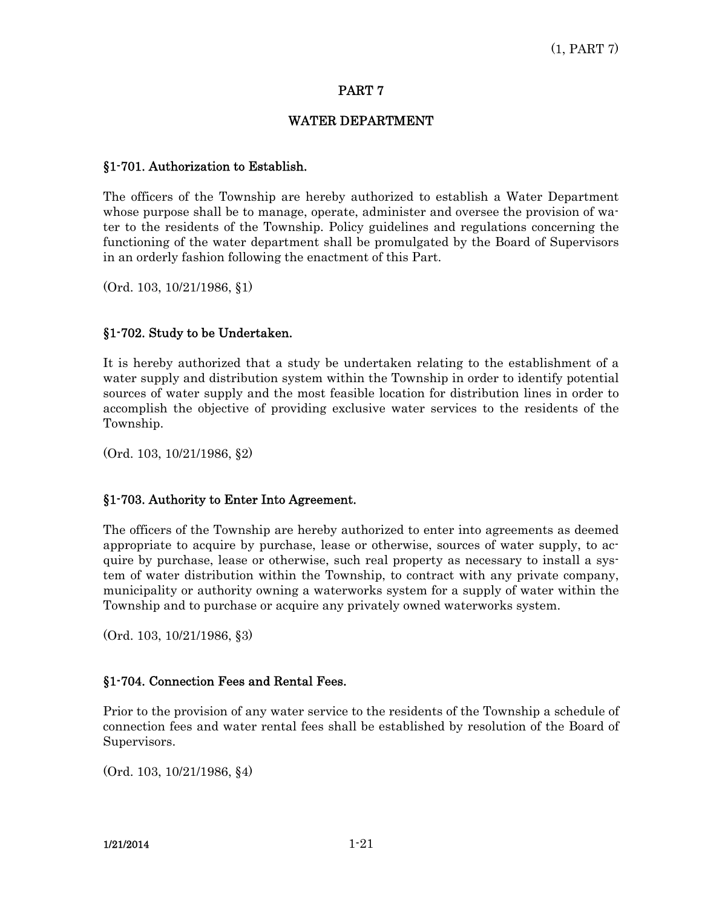### WATER DEPARTMENT

### §1-701. Authorization to Establish.

The officers of the Township are hereby authorized to establish a Water Department whose purpose shall be to manage, operate, administer and oversee the provision of water to the residents of the Township. Policy guidelines and regulations concerning the functioning of the water department shall be promulgated by the Board of Supervisors in an orderly fashion following the enactment of this Part.

(Ord. 103, 10/21/1986, §1)

# §1-702. Study to be Undertaken.

It is hereby authorized that a study be undertaken relating to the establishment of a water supply and distribution system within the Township in order to identify potential sources of water supply and the most feasible location for distribution lines in order to accomplish the objective of providing exclusive water services to the residents of the Township.

(Ord. 103, 10/21/1986, §2)

# §1-703. Authority to Enter Into Agreement.

The officers of the Township are hereby authorized to enter into agreements as deemed appropriate to acquire by purchase, lease or otherwise, sources of water supply, to acquire by purchase, lease or otherwise, such real property as necessary to install a system of water distribution within the Township, to contract with any private company, municipality or authority owning a waterworks system for a supply of water within the Township and to purchase or acquire any privately owned waterworks system.

(Ord. 103, 10/21/1986, §3)

### §1-704. Connection Fees and Rental Fees.

Prior to the provision of any water service to the residents of the Township a schedule of connection fees and water rental fees shall be established by resolution of the Board of Supervisors.

(Ord. 103, 10/21/1986, §4)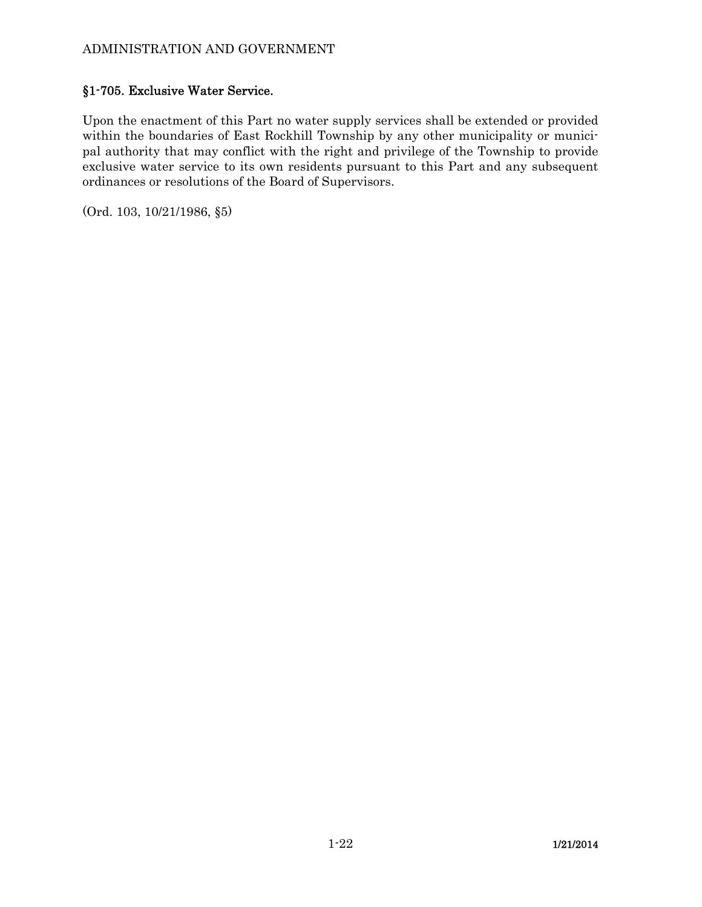# §1-705. Exclusive Water Service.

Upon the enactment of this Part no water supply services shall be extended or provided within the boundaries of East Rockhill Township by any other municipality or municipal authority that may conflict with the right and privilege of the Township to provide exclusive water service to its own residents pursuant to this Part and any subsequent ordinances or resolutions of the Board of Supervisors.

(Ord. 103, 10/21/1986, §5)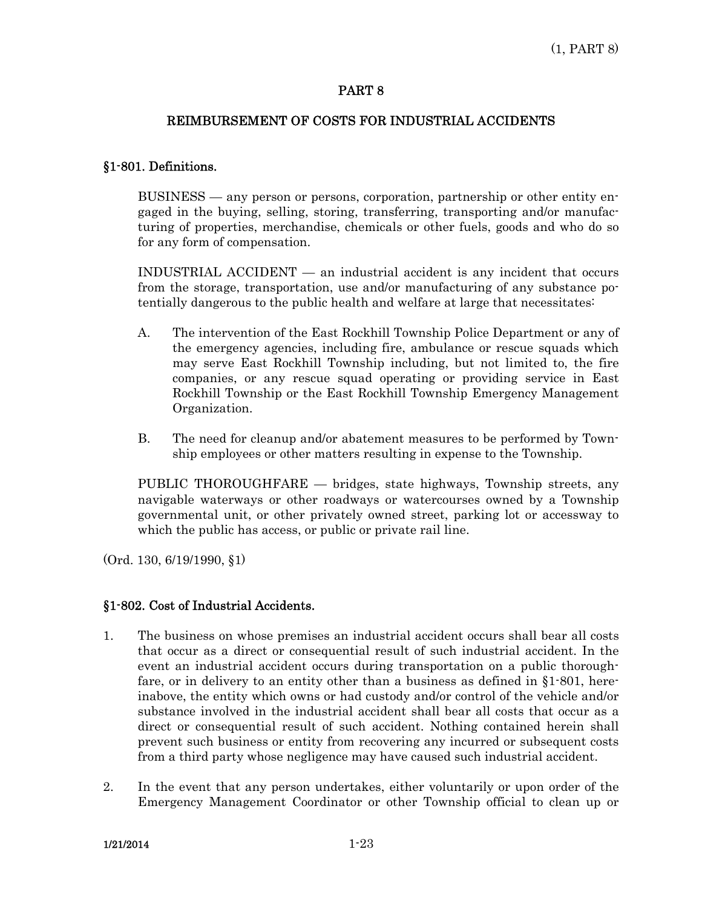### REIMBURSEMENT OF COSTS FOR INDUSTRIAL ACCIDENTS

### §1-801. Definitions.

 BUSINESS — any person or persons, corporation, partnership or other entity engaged in the buying, selling, storing, transferring, transporting and/or manufacturing of properties, merchandise, chemicals or other fuels, goods and who do so for any form of compensation.

 INDUSTRIAL ACCIDENT — an industrial accident is any incident that occurs from the storage, transportation, use and/or manufacturing of any substance potentially dangerous to the public health and welfare at large that necessitates:

- A. The intervention of the East Rockhill Township Police Department or any of the emergency agencies, including fire, ambulance or rescue squads which may serve East Rockhill Township including, but not limited to, the fire companies, or any rescue squad operating or providing service in East Rockhill Township or the East Rockhill Township Emergency Management Organization.
- B. The need for cleanup and/or abatement measures to be performed by Township employees or other matters resulting in expense to the Township.

 PUBLIC THOROUGHFARE — bridges, state highways, Township streets, any navigable waterways or other roadways or watercourses owned by a Township governmental unit, or other privately owned street, parking lot or accessway to which the public has access, or public or private rail line.

(Ord. 130, 6/19/1990, §1)

### §1-802. Cost of Industrial Accidents.

- 1. The business on whose premises an industrial accident occurs shall bear all costs that occur as a direct or consequential result of such industrial accident. In the event an industrial accident occurs during transportation on a public thoroughfare, or in delivery to an entity other than a business as defined in §1-801, hereinabove, the entity which owns or had custody and/or control of the vehicle and/or substance involved in the industrial accident shall bear all costs that occur as a direct or consequential result of such accident. Nothing contained herein shall prevent such business or entity from recovering any incurred or subsequent costs from a third party whose negligence may have caused such industrial accident.
- 2. In the event that any person undertakes, either voluntarily or upon order of the Emergency Management Coordinator or other Township official to clean up or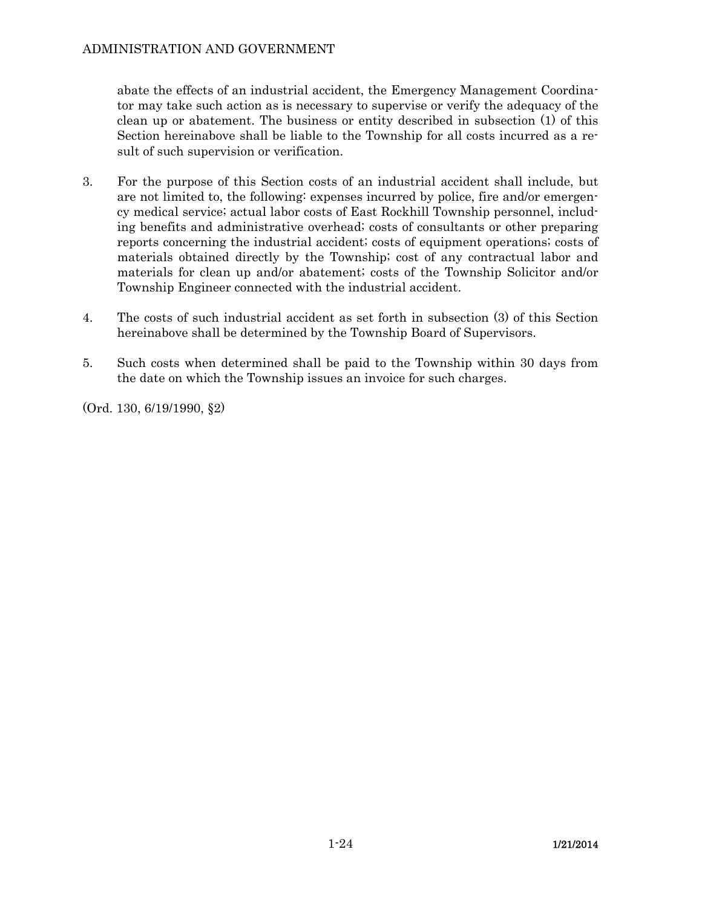abate the effects of an industrial accident, the Emergency Management Coordinator may take such action as is necessary to supervise or verify the adequacy of the clean up or abatement. The business or entity described in subsection (1) of this Section hereinabove shall be liable to the Township for all costs incurred as a result of such supervision or verification.

- 3. For the purpose of this Section costs of an industrial accident shall include, but are not limited to, the following: expenses incurred by police, fire and/or emergency medical service; actual labor costs of East Rockhill Township personnel, including benefits and administrative overhead; costs of consultants or other preparing reports concerning the industrial accident; costs of equipment operations; costs of materials obtained directly by the Township; cost of any contractual labor and materials for clean up and/or abatement; costs of the Township Solicitor and/or Township Engineer connected with the industrial accident.
- 4. The costs of such industrial accident as set forth in subsection (3) of this Section hereinabove shall be determined by the Township Board of Supervisors.
- 5. Such costs when determined shall be paid to the Township within 30 days from the date on which the Township issues an invoice for such charges.

(Ord. 130, 6/19/1990, §2)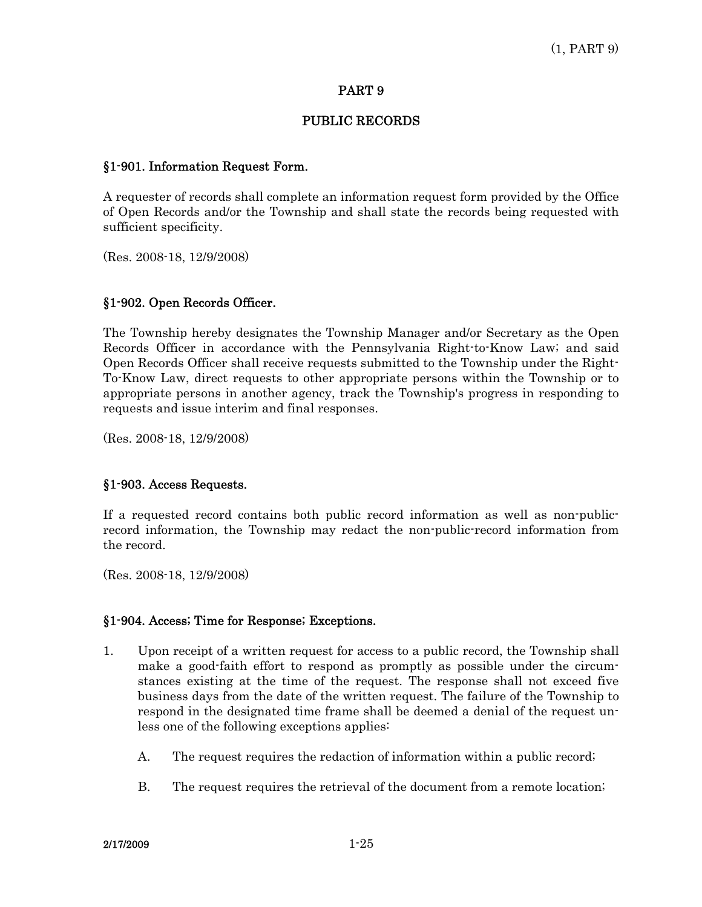### PUBLIC RECORDS

### §1-901. Information Request Form.

A requester of records shall complete an information request form provided by the Office of Open Records and/or the Township and shall state the records being requested with sufficient specificity.

(Res. 2008-18, 12/9/2008)

### §1-902. Open Records Officer.

The Township hereby designates the Township Manager and/or Secretary as the Open Records Officer in accordance with the Pennsylvania Right-to-Know Law; and said Open Records Officer shall receive requests submitted to the Township under the Right-To-Know Law, direct requests to other appropriate persons within the Township or to appropriate persons in another agency, track the Township's progress in responding to requests and issue interim and final responses.

(Res. 2008-18, 12/9/2008)

### §1-903. Access Requests.

If a requested record contains both public record information as well as non-publicrecord information, the Township may redact the non-public-record information from the record.

(Res. 2008-18, 12/9/2008)

#### §1-904. Access; Time for Response; Exceptions.

- 1. Upon receipt of a written request for access to a public record, the Township shall make a good-faith effort to respond as promptly as possible under the circumstances existing at the time of the request. The response shall not exceed five business days from the date of the written request. The failure of the Township to respond in the designated time frame shall be deemed a denial of the request unless one of the following exceptions applies:
	- A. The request requires the redaction of information within a public record;
	- B. The request requires the retrieval of the document from a remote location;

 $2/17/2009$   $1-25$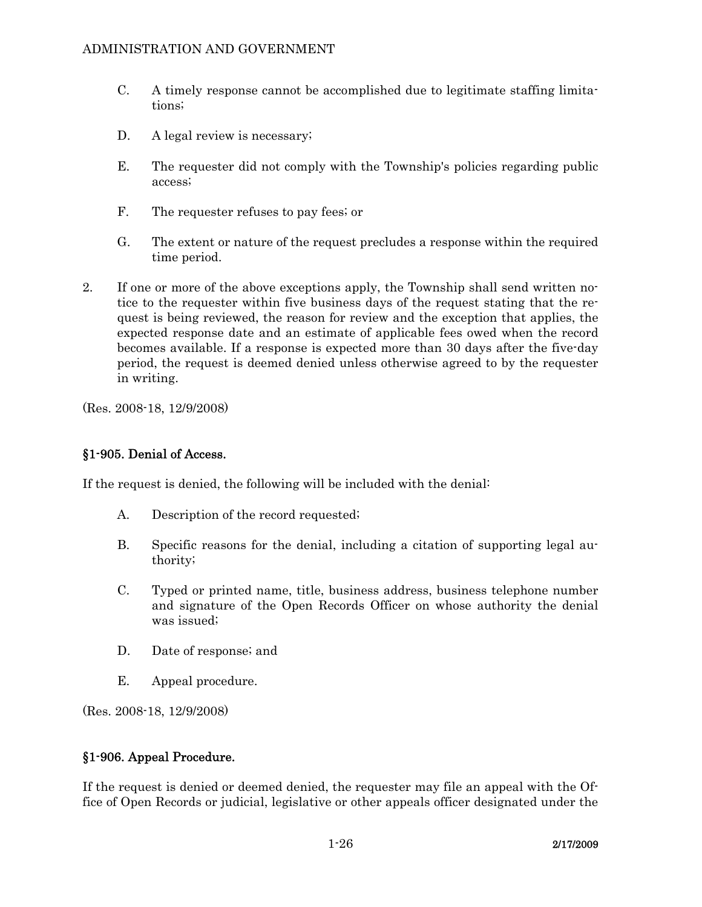- C. A timely response cannot be accomplished due to legitimate staffing limitations;
- D. A legal review is necessary;
- E. The requester did not comply with the Township's policies regarding public access;
- F. The requester refuses to pay fees; or
- G. The extent or nature of the request precludes a response within the required time period.
- 2. If one or more of the above exceptions apply, the Township shall send written notice to the requester within five business days of the request stating that the request is being reviewed, the reason for review and the exception that applies, the expected response date and an estimate of applicable fees owed when the record becomes available. If a response is expected more than 30 days after the five-day period, the request is deemed denied unless otherwise agreed to by the requester in writing.

(Res. 2008-18, 12/9/2008)

### §1-905. Denial of Access.

If the request is denied, the following will be included with the denial:

- A. Description of the record requested;
- B. Specific reasons for the denial, including a citation of supporting legal authority;
- C. Typed or printed name, title, business address, business telephone number and signature of the Open Records Officer on whose authority the denial was issued;
- D. Date of response; and
- E. Appeal procedure.

(Res. 2008-18, 12/9/2008)

#### §1-906. Appeal Procedure.

If the request is denied or deemed denied, the requester may file an appeal with the Office of Open Records or judicial, legislative or other appeals officer designated under the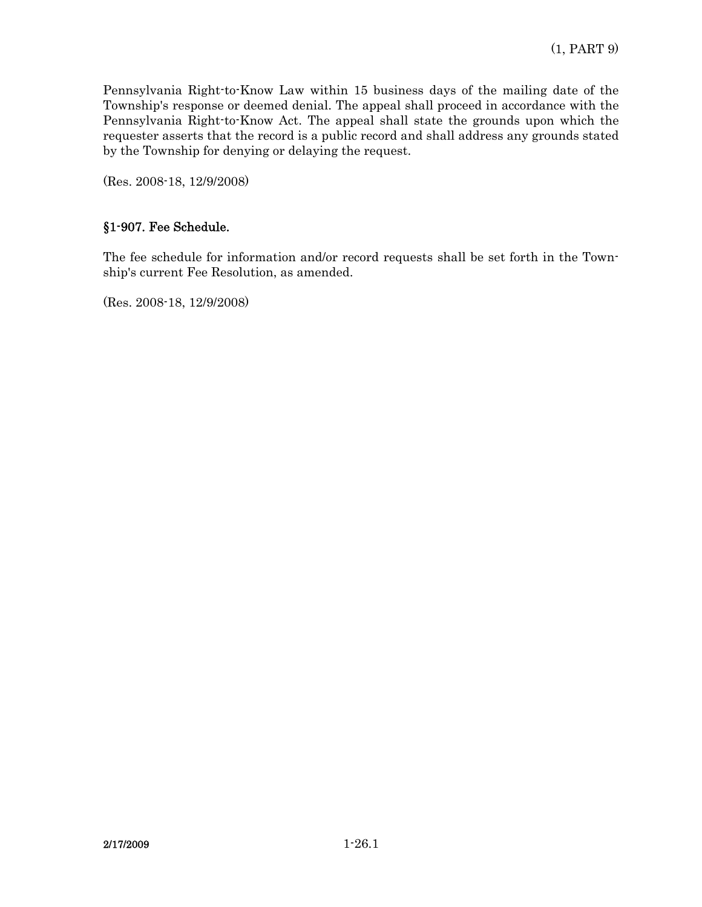Pennsylvania Right-to-Know Law within 15 business days of the mailing date of the Township's response or deemed denial. The appeal shall proceed in accordance with the Pennsylvania Right-to-Know Act. The appeal shall state the grounds upon which the requester asserts that the record is a public record and shall address any grounds stated by the Township for denying or delaying the request.

(Res. 2008-18, 12/9/2008)

# §1-907. Fee Schedule.

The fee schedule for information and/or record requests shall be set forth in the Township's current Fee Resolution, as amended.

(Res. 2008-18, 12/9/2008)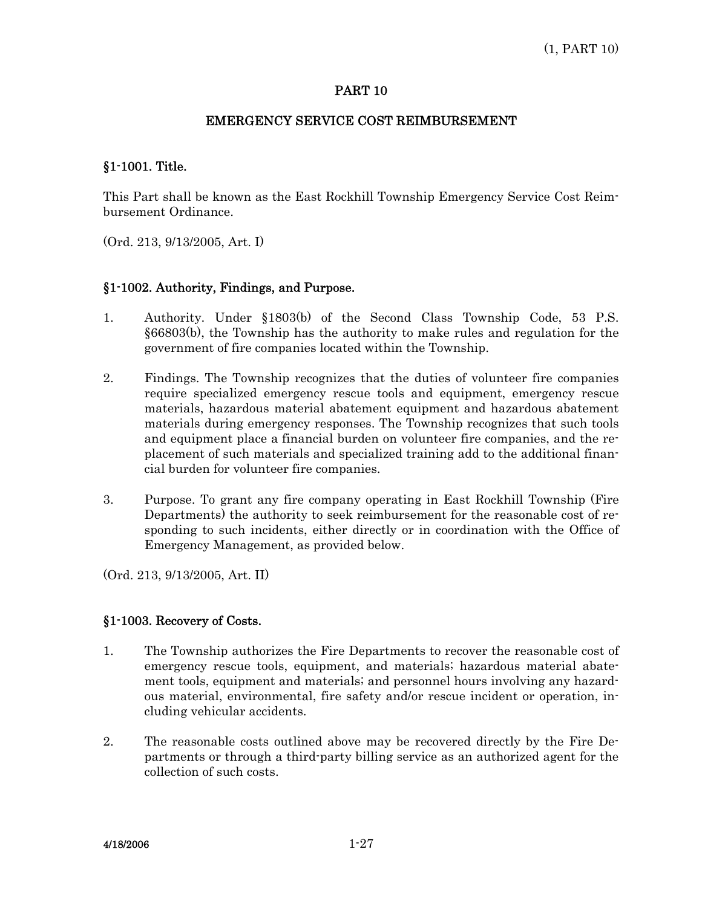### EMERGENCY SERVICE COST REIMBURSEMENT

### §1-1001. Title.

This Part shall be known as the East Rockhill Township Emergency Service Cost Reimbursement Ordinance.

(Ord. 213, 9/13/2005, Art. I)

### §1-1002. Authority, Findings, and Purpose.

- 1. Authority. Under §1803(b) of the Second Class Township Code, 53 P.S. §66803(b), the Township has the authority to make rules and regulation for the government of fire companies located within the Township.
- 2. Findings. The Township recognizes that the duties of volunteer fire companies require specialized emergency rescue tools and equipment, emergency rescue materials, hazardous material abatement equipment and hazardous abatement materials during emergency responses. The Township recognizes that such tools and equipment place a financial burden on volunteer fire companies, and the replacement of such materials and specialized training add to the additional financial burden for volunteer fire companies.
- 3. Purpose. To grant any fire company operating in East Rockhill Township (Fire Departments) the authority to seek reimbursement for the reasonable cost of responding to such incidents, either directly or in coordination with the Office of Emergency Management, as provided below.

(Ord. 213, 9/13/2005, Art. II)

### §1-1003. Recovery of Costs.

- 1. The Township authorizes the Fire Departments to recover the reasonable cost of emergency rescue tools, equipment, and materials; hazardous material abatement tools, equipment and materials; and personnel hours involving any hazardous material, environmental, fire safety and/or rescue incident or operation, including vehicular accidents.
- 2. The reasonable costs outlined above may be recovered directly by the Fire Departments or through a third-party billing service as an authorized agent for the collection of such costs.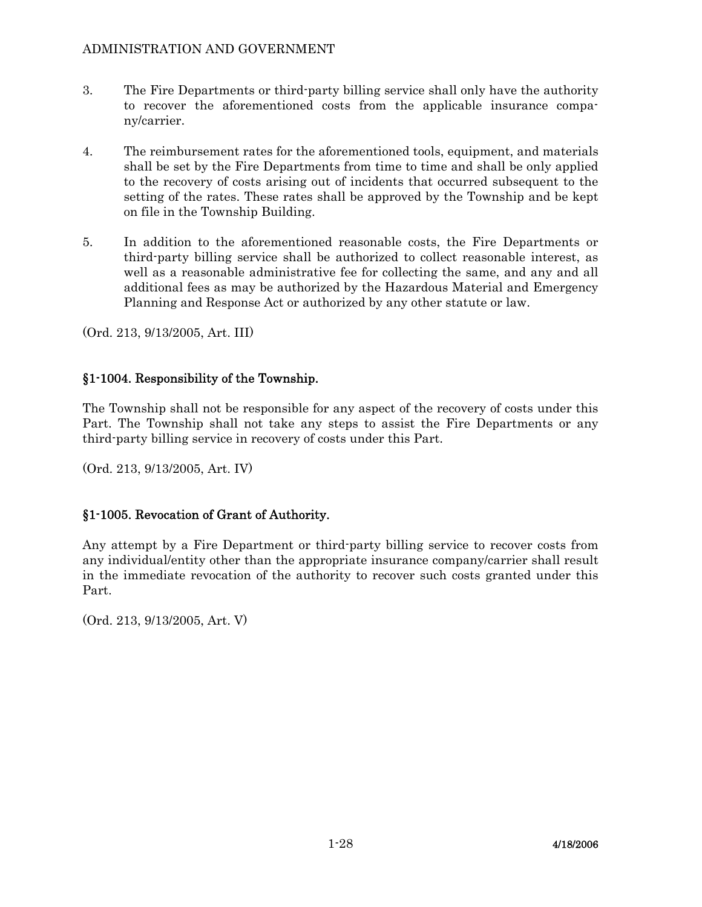- 3. The Fire Departments or third-party billing service shall only have the authority to recover the aforementioned costs from the applicable insurance company/carrier.
- 4. The reimbursement rates for the aforementioned tools, equipment, and materials shall be set by the Fire Departments from time to time and shall be only applied to the recovery of costs arising out of incidents that occurred subsequent to the setting of the rates. These rates shall be approved by the Township and be kept on file in the Township Building.
- 5. In addition to the aforementioned reasonable costs, the Fire Departments or third-party billing service shall be authorized to collect reasonable interest, as well as a reasonable administrative fee for collecting the same, and any and all additional fees as may be authorized by the Hazardous Material and Emergency Planning and Response Act or authorized by any other statute or law.

(Ord. 213, 9/13/2005, Art. III)

# §1-1004. Responsibility of the Township.

The Township shall not be responsible for any aspect of the recovery of costs under this Part. The Township shall not take any steps to assist the Fire Departments or any third-party billing service in recovery of costs under this Part.

(Ord. 213, 9/13/2005, Art. IV)

# §1-1005. Revocation of Grant of Authority.

Any attempt by a Fire Department or third-party billing service to recover costs from any individual/entity other than the appropriate insurance company/carrier shall result in the immediate revocation of the authority to recover such costs granted under this Part.

(Ord. 213, 9/13/2005, Art. V)